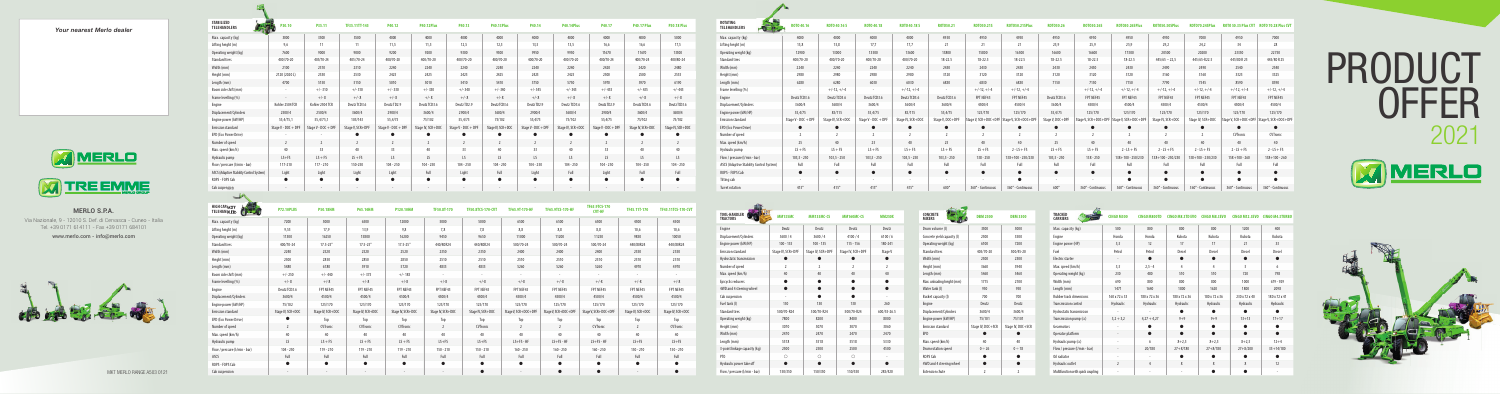**MERLO S.P.A.** Via Nazionale, 9 - 12010 S. Def. di Cervasca - Cuneo - Italia Tel. +39 0171 614111 - Fax +39 0171 684101 www.merlo.com - info@merlo.com

## PRODUCT OFFER 2021 MMERLO





## Your nearest Merlo dealer



| <b>CONCRETE</b><br><b>MIXERS</b> | <b>DRM 2500</b>   | <b>DBM3500</b>    |  |  |  |  |
|----------------------------------|-------------------|-------------------|--|--|--|--|
| Drum volume (I)                  | 3500              | 5000              |  |  |  |  |
| Concrete yield capacity (I)      | 2500              | 3500              |  |  |  |  |
| Operating weight (kg)            | 6100              | 7200              |  |  |  |  |
| <b>Standard tires</b>            | 405/70-20         | 500/45-20         |  |  |  |  |
| Width (mm)                       | 2300              | 2300              |  |  |  |  |
| Height (mm)                      | 3660              | 3940              |  |  |  |  |
| Length (mm)                      | 5460              | 5460              |  |  |  |  |
| Max. unloading height (mm)       | 1715              | 2100              |  |  |  |  |
| Water tank (I)                   | 950               | 950               |  |  |  |  |
| Bucket capacity (I)              | 700               | 700               |  |  |  |  |
| Engine                           | Deutz             | Deutz             |  |  |  |  |
| Displacement/Cylinders           | 3600/4            | 3600/4            |  |  |  |  |
| Engine power (kW/HP)             | 75/101            | 75/101            |  |  |  |  |
| <b>Emission standard</b>         | Stage IV, DOC+SCR | Stage IV, DOC+SCR |  |  |  |  |
| <b>EPD</b>                       |                   |                   |  |  |  |  |
| Max. speed (km/h)                | 40                | 40                |  |  |  |  |
| Drum rotation speed              | $0 \div 26$       | $0 \div 18$       |  |  |  |  |
| ROPS Cab                         |                   |                   |  |  |  |  |
| 4WD and 4 steering wheel         |                   |                   |  |  |  |  |
| <b>Extension chute</b>           | 2                 | $\overline{2}$    |  |  |  |  |

| <b>TOOL-HANDLER</b><br><b>TRACTORS</b> | <b>MM135MC</b>    | <b>MM135MC-CS</b> | <b>MM160MC-CS</b> | <b>MM250X</b>  |
|----------------------------------------|-------------------|-------------------|-------------------|----------------|
| Engine                                 | Deutz             | Deutz             | Deutz             | Deutz          |
| Displacement/Cylinders                 | 3600/4            | 3600/4            | 4100/4            | 6100/6         |
| Engine power (kW/HP)                   | $100 - 135$       | $100 - 135$       | $115 - 156$       | 180-241        |
| <b>Emission standard</b>               | Stage IV, SCR+DPF | Stage IV, SCR+DPF | Stage IV, SCR+DPF | Stage V        |
| Hydrostatic transmission               |                   |                   |                   |                |
| Number of speed                        | $\overline{2}$    | $\overline{2}$    | $\overline{2}$    | $\overline{2}$ |
| Max. speed (km/h)                      | 40                | 40                | 40                | 40             |
| Epicyclic reducers                     |                   |                   |                   |                |
| 4WD and 4 steering wheel               | $\bullet$         | ●                 | ●                 | ●              |
| Cab suspension                         |                   |                   |                   |                |
| Fuel tank (I)                          | 130               | 130               | 130               | 260            |
| <b>Standard tires</b>                  | 500/70-R24        | 500/70-R24        | 500/70-R24        | 600/55-26.5    |
| Operating weight (kg)                  | 7800              | 8200              | 8400              | 8000           |
| Height (mm)                            | 3070              | 3070              | 3070              | 3060           |
| Width (mm)                             | 2470              | 2470              | 2470              | 2470           |
| Length (mm)                            | 5518              | 5518              | 5518              | 5330           |
| 3-point linkage capacity (kg)          | 2500              | 2500              | 2500              | 4500           |
| PT <sub>0</sub>                        | $\circ$           | $\bigcirc$        | ∩                 | ä,             |
| Hydraulic power take off               | ●                 | ▲                 |                   |                |
| Flow / pressure (l/min - bar)          | 150/350           | 150/350           | 150/350           | 285/420        |
|                                        |                   |                   |                   |                |

| <b>P40.17 Plus</b> | <b>P50.18 Plus</b> | <b>ROTATING</b><br>$-6 - 6 =$<br><b>TELEHANDLERS</b> | ROTO 40.16          | ROTO 40.16 S      | ROTO 40.18          | ROTO 40.18 S      | ROTO50.21                | ROTO50.21S        | <b>ROTO50.21SPlus</b>                     | ROT050.26        | R0T050.26S        | R0T050.26SPlu                             | <b>ROTO50.30SPlus</b> | <b>ROTO70.24SPlus</b> |                                           |                   |
|--------------------|--------------------|------------------------------------------------------|---------------------|-------------------|---------------------|-------------------|--------------------------|-------------------|-------------------------------------------|------------------|-------------------|-------------------------------------------|-----------------------|-----------------------|-------------------------------------------|-------------------|
| 4000               | 5000               | Max. capacity (kg)                                   | 4000                | 4000              | 4000                | 4000              | 4950                     | 4950              | 4950                                      | 4950             | 4950              | 4950                                      | 4950                  | 7000                  | 4950                                      | 7000              |
| 16,6               | 17,5               | Lifting height (m)                                   | 15,8                | 15,8              | 17,7                | 17,7              | 21                       | 21                | 21                                        | 25,9             | 25,9              | 25,9                                      | 29,2                  | 24,2                  | 34                                        | 28                |
| 11670              | 13300              | Operating weight (kg)                                | 12900               | 13000             | 13500               | 13600             | 15800                    | 15800             | 16500                                     | 16600            | 16600             | 17300                                     | 20500                 | 20200                 | 23350                                     | 22750             |
| 400/70-24          | 400/80-24          | <b>Standard tires</b>                                | 400/70-20           | 400/70-20         | 400/70-20           | 400/70-20         | $18 - 22.5$              | 18-22.5           | $18 - 22.5$                               | $18 - 22.5$      | $18 - 22.5$       | $18 - 22.5$                               | $445/65 - 22,5$       | 445/65-R22.5          | 445/80 R 25                               | 445/80 R 25       |
| 2420               | 2480               | Width (mm)                                           | 2240                | 2240              | 2240                | 2240              | 2430                     | 2430              | 2430                                      | 2430             | 2430              | 2430                                      | 2490                  | 2490                  | 2540                                      | 2540              |
| 2500               | 2535               | Height (mm)                                          | 2980                | 2980              | 2980                | 2980              | 3120                     | 3120              | 3120                                      | 3120             | 3120              | 3120                                      | 3160                  | 3160                  | 3325                                      | 3325              |
| 5970               | 6190               | Length (mm)                                          | 6280                | 6280              | 6030                | 6030              | 6830                     | 6830              | 6830                                      | 7150             | 7150              | 7150                                      | 7790                  | 7545                  | 8590                                      | 8590              |
| $+/- 435$          | $+/- 445$          | Frame levelling (%)                                  |                     | $+/-12, +/-4$     | $\sim$              | $+/-12, +/-4$     | $\sim$                   | $+/-12, +/-4$     | $+/-12, +/-4$                             | $\sim$           | $+/-12, +/-4$     | $+/-12, +/-4$                             | $+/-12, +/-4$         | $+/-12, +/-4$         | $+/-12, +/-4$                             | $+/-12, +/-4$     |
| $+/-8$             | $+/- 8$            | Engine                                               | Deutz TCD3.6        | Deutz TCD3.6      | Deutz TCD3.6        | Deutz TCD3.6      | Deutz TCD3.6             | FPT NEF45         | FPT NEF45                                 | Deutz TCD3.6     | FPT NEF45         | FPT NEF45                                 | FPT NEF45             | FPT NEF45             | FPT NEF45                                 | FPT NEF45         |
| Deutz TCD3.6       | Deutz TCD3.6       | Displacement/Cylinders                               | 3600/4              | 3600/4            | 3600/4              | 3600/4            | 3600/4                   | 4500/4            | 4500/4                                    | 3600/4           | 4500/4            | 4500/4                                    | 4500/4                | 4500/4                | 4500/4                                    | 4500/4            |
| 3600/4             | 3600/4             | Engine power (kW/HP)                                 | 55,4/75             | 85/115            | 55,4/75             | 85/115            | 55,4/75                  | 125/170           | 125/170                                   | 55,4/75          | 125/170           | 125/170                                   | 125/170               | 125/170               | 125/170                                   | 125/170           |
| 75/102             | 75/102             | <b>Emission standard</b>                             | Stage V - DOC + DPF | Stage IV, SCR+DOC | Stage V - DOC + DPI | Stage IV, SCR+DOC | Stage V, DOC+DPF         |                   | Stage V, SCR+DOC+DPF Stage V, SCR+DOC+DPF | Stage V, DOC+DPF |                   | Stage V, SCR+DOC+DPF Stage V, SCR+DOC+DPF | Stage IV, SCR+DOC     | Stage IV, SCR+DOC     | Stage V, SCR+DOC+DPF Stage V, SCR+DOC+DPI |                   |
| Stage IV, SCR+DOC  | Stage IV, SCR+DOC  | EPD (Eco Power Drive)                                | $\bullet$           | $\bullet$         | $\bullet$           | $\bullet$         | $\bullet$                | $\bullet$         | $\bullet$                                 | $\bullet$        | $\bullet$         | $\bullet$                                 | $\bullet$             |                       |                                           | $\bullet$         |
|                    |                    | Number of speed                                      |                     |                   | $\overline{2}$      |                   |                          |                   |                                           |                  |                   |                                           |                       |                       | CVTronic                                  | CVTronic          |
|                    | $\overline{2}$     | Max. speed (km/h)                                    | 25                  | 40                | 25                  | 40                | 25                       | 40                | 40                                        | 25               | 40                | 40                                        | 40                    | 40                    | 40                                        | 40                |
| 40                 | 40                 | Hydraulic pump                                       | $LS + FS$           | $LS + FS$         | $LS + FS$           | $LS + FS$         | $LS + FS$                | $LS + FS$         | $2 - LS + FS$                             | $LS + FS$        | $LS + FS$         | $2 - LS + FS$                             | $2 - LS + FS$         | $2 - LS + FS$         | $2 - LS + FS$                             | $2 - LS + FS$     |
| LS                 | LS                 | Flow / pressure (I/min - bar)                        | $103, 5 - 250$      | $103,5 - 250$     | $103,5 - 250$       | $103,5 - 250$     | $103, 5 - 250$           | $138 - 250$       | $138 + 100 - 250/230$                     | $103,5 - 250$    | $138 - 250$       | $138 + 100 - 250/230$                     | 138+100 - 250/230     | $138 + 100 - 250/230$ | $158 + 100 - 260$                         | $158 + 100 - 260$ |
| $104 - 250$        | $104 - 250$        | ASCS (Adaptive Stability Control System)             | Full                | Full              | Full                | Full              | Full                     | Full              | Full                                      | Full             | Full              | Full                                      | Full                  | Full                  | Full                                      | Full              |
| Full               | Full               | ROPS - FOPS Cab                                      | $\bullet$           | $\bullet$         | $\bullet$           | $\bullet$         | $\bullet$                | $\bullet$         | $\bullet$                                 | $\bullet$        | $\bullet$         | $\bullet$                                 | $\bullet$             | $\bullet$             | $\bullet$                                 | $\bullet$         |
|                    |                    | Tilting cab                                          | $\sim$              | $\sim$            | $\sim$              | $\sim$            | $\overline{\phantom{a}}$ |                   | $\bullet$                                 |                  |                   |                                           |                       |                       |                                           |                   |
|                    |                    | <b>Turret rotation</b>                               | $415^\circ$         | $415^\circ$       | $415^\circ$         | $415^\circ$       | $600^\circ$              | 360° - Continuous | 360° - Continuous                         | $600^\circ$      | 360° - Continuous | 360° - Continuous                         | 360° - Continuous     | 360° - Continuous     | 360° - Continuous                         | 360° - Continuous |

| <b>TRACKED</b><br><b>CARRIERS</b> | <b>CINGO M500</b>        | <b>CINGO M800TD</b> | <b>CINGO M8.3TD EVO</b> | <b>CINGO M8.3EVO</b> | <b>CINGO M12.3EVO</b> | <b>CINGO M4.3TURBO</b> |  |
|-----------------------------------|--------------------------|---------------------|-------------------------|----------------------|-----------------------|------------------------|--|
| Max. capacity (kg)                | 500                      | 800                 | 800                     | 800                  | 1200                  | 400                    |  |
| Engine                            | Honda                    | Honda               | Kubota                  | Kubota               | Kubota                | Kubota                 |  |
| Engine power (HP)                 | 5,5                      | 12                  | 17                      | 17                   | 21                    | 33                     |  |
| Fuel                              | Petrol                   | Petrol              | Diesel                  | Diesel               | Diesel                | Diesel                 |  |
| <b>Electric starter</b>           | $\overline{\phantom{a}}$ | $\bullet$           | $\bullet$               | $\bullet$            | $\bullet$             | $\bullet$              |  |
| Max. speed (km/h)                 | 3,5                      | $2, 5 - 4$          | 4                       | 4                    | 5                     | 6                      |  |
| Operating weight (kg)             | 230                      | 480                 | 510                     | 510                  | 720                   | 798                    |  |
| Width (mm)                        | 690                      | 800                 | 800                     | 800                  | 1000                  | $679 - 929$            |  |
| Length (mm)                       | 1471                     | 1640                | 1800                    | 1620                 | 1800                  | 2098                   |  |
| <b>Rubber track dimensions</b>    | 160 x 72 x 33            | 180 x 72 x 36       | 180 x 72 x 36           | 180 x 72 x 36        | 230 x 72 x 40         | 180 x 72 x 41          |  |
| <b>Transmission control</b>       | Hydraulic                | Hydraulic           | Hydraulic               | Hydraulic            | Hydraulic             | Hydraulic              |  |
| Hydrostatic transmission          |                          |                     |                         |                      |                       |                        |  |
| Transmission pump (cc)            | $3,2+3,2$                | $4,27 + 4,27$       | $9 + 9$                 | $9 + 9$              | $13 + 13$             | $17 + 17$              |  |
| Gearmotors                        |                          |                     |                         |                      |                       |                        |  |
| Operator platform                 | $\overline{\phantom{a}}$ | $\bullet$           | $\bullet$               | $\bullet$            | $\bullet$             | $\bullet$              |  |
| Hydraulic pump (cc)               | ä,                       | 6                   | $8 + 2.5$               | $8 + 2,5$            | $8 + 2.5$             | $12 + 4$               |  |
| Flow / pressure (l/min - bar)     |                          | 20/180              | $27 + 8/180$            | $27 + 8/180$         | $27 + 8/200$          | $35 + 14/180$          |  |
| Oil radiator                      | $\overline{a}$           | ٠                   |                         |                      |                       |                        |  |
| Hydraulic outlet                  | $\overline{2}$           | $\overline{4}$      | 8                       | 8                    | 8                     | 12                     |  |
| Multifunction with quick coupling |                          |                     |                         |                      |                       |                        |  |

| :0T070.24SPlus R0T0 50.35 Plus CVT R0T0 70.28 Plus CVT |                      |
|--------------------------------------------------------|----------------------|
| 4950                                                   | 7000                 |
| 34                                                     | 28                   |
| 23350                                                  | 22750                |
| 445/80 R 25                                            | 445/80 R 25          |
| 2540                                                   | 2540                 |
| 3325                                                   | 3325                 |
| 8590                                                   | 8590                 |
| $+/-12, +/-4$                                          | $+/-12, +/-4$        |
| FPT NEF45                                              | FPT NEF45            |
| 4500/4                                                 | 4500/4               |
| 125/170                                                | 125/170              |
| Stage V, SCR+DOC+DPF                                   | Stage V, SCR+DOC+DPF |
|                                                        |                      |
| <b>CVTronic</b>                                        | <b>CVTronic</b>      |
| 40                                                     | 40                   |
| $2 - LS + FS$                                          | $2 - LS + FS$        |
| $158 + 100 - 260$                                      | $158 + 100 - 260$    |
| Full                                                   | Full                 |
| ●                                                      | $\bullet$            |
|                                                        |                      |
| 360° - Continuous                                      | 360° - Continuous    |
|                                                        |                      |

| <b>STABILIZED</b><br><b>TELEHANDLERS</b>                                                                                                                                                                                                                                                                                                                        | P30.10              | P35.11              | TF35.11TT-145    | P40.12              | <b>P40.12Plus</b> | P40.13              | <b>P40.13Plus</b> | P40.14              | <b>P40.14Plus</b> | P40.17              | <b>P40.17 Plus</b> | <b>P50.18 Plus</b> |  |
|-----------------------------------------------------------------------------------------------------------------------------------------------------------------------------------------------------------------------------------------------------------------------------------------------------------------------------------------------------------------|---------------------|---------------------|------------------|---------------------|-------------------|---------------------|-------------------|---------------------|-------------------|---------------------|--------------------|--------------------|--|
| Max. capacity (kg)                                                                                                                                                                                                                                                                                                                                              | 3000                | 3500                | 3500             | 4000                | 4000              | 4000                | 4000              | 4000                | 4000              | 4000                | 4000               | 5000               |  |
| Lifting height (m)                                                                                                                                                                                                                                                                                                                                              | 9,6                 | 11                  | 11               | 11,5                | 11,5              | 12,5                | 12,5              | 13,5                | 13,5              | 16,6                | 16,6               | 17,5               |  |
| Operating weight (kg)                                                                                                                                                                                                                                                                                                                                           | 7600                | 9000                | 9000             | 9200                | 9200              | 9300                | 9300              | 9950                | 9950              | 11670               | 11670              | 13300              |  |
| <b>Standard tires</b>                                                                                                                                                                                                                                                                                                                                           | 400/70-20           | 405/70-24           | 405/70-24        | 400/70-20           | 400/70-20         | 400/70-20           | 400/70-20         | 400/70-20           | 400/70-20         | 400/70-24           | 400/70-24          | 400/80-24          |  |
| Width (mm)                                                                                                                                                                                                                                                                                                                                                      | 2100                | 2310                | 2310             | 2240                | 2240              | 2240                | 2240              | 2240<br>2240        |                   | 2420                | 2420               | 2480               |  |
| Height (mm)                                                                                                                                                                                                                                                                                                                                                     | 2120 (2020 L)       | 2530                | 2530             | 2425                | 2425              | 2425                | 2425              | 2425                | 2425              | 2500                | 2500               | 2535               |  |
| Length (mm)                                                                                                                                                                                                                                                                                                                                                     | 4700                | 5150                | 5150             | 5010                | 5010              | 5410                | 5410              | 5750                | 5750              | 5970                | 5970               | 6190               |  |
| Boom side shift (mm)                                                                                                                                                                                                                                                                                                                                            | $\sim$              | $+/- 310$           | $+/-310$         | $+/- 330$           | $+/- 330$         | $+/- 340$           | $+/- 340$         | $+/- 345$           | $+/- 345$         | $+/- 435$           | $+/- 435$          | $+/- 445$          |  |
| Frame levelling (%)                                                                                                                                                                                                                                                                                                                                             | $\sim$              | $+/- 8$             | $+/- 8$          | $+/- 8$             | $+/- 8$           | $+/- 8$             | $+/-8$            | $+/- 8$             | $+/- 8$           | $+/-8$              | $+/-8$             | $+/- 8$            |  |
| Engine                                                                                                                                                                                                                                                                                                                                                          | Kohler 2504 TCR     | Kohler 2504 TCR     | Deutz TCD3.6     | Deutz TD2.9         | Deutz TCD3.6      | Deutz TD2.9         | Deutz TCD3.6      | Deutz TD2.9         | Deutz TCD3.6      | Deutz TD2.9         | Deutz TCD3.6       | Deutz TCD3.6       |  |
| Displacement/Cylinders                                                                                                                                                                                                                                                                                                                                          | 2500/4              | 2500/4              | 3600/4           | 2900/4              | 3600/4            | 2900/4              | 3600/4            | 2900/4              | 3600/4            | 2900/4              | 3600/4             | 3600/4             |  |
| Engine power (kW/HP)                                                                                                                                                                                                                                                                                                                                            | 55,4/75,1           | 55,4/75,1           | 105/143          | 55,4/75             | 75/102            | 55,4/75             | 75/102            | 55,4/75             | 75/102            | 55,4/75             | 75/102             | 75/102             |  |
| <b>Emission standard</b>                                                                                                                                                                                                                                                                                                                                        | Stage V - DOC + DPF | Stage V - DOC + DPF | Stage V, SCR+DPF | Stage V - DOC + DPF | Stage IV, SCR+DOC | Stage V - DOC + DPF | Stage IV, SCR+DOC | Stage V - DOC + DPF | Stage IV, SCR+DOC | Stage V - DOC + DPF | Stage IV, SCR+DOC  | Stage IV, SCR+DOC  |  |
| EPD (Eco Power Drive)                                                                                                                                                                                                                                                                                                                                           | $\sim$              |                     | $\bullet$        | $\bullet$           | $\bullet$         | $\bullet$           | $\bullet$         | $\bullet$           | $\bullet$         | $\bullet$           | $\bullet$          | $\bullet$          |  |
| Number of speed                                                                                                                                                                                                                                                                                                                                                 | $\overline{2}$      | $\overline{2}$      | 2                | $\overline{2}$      | 2                 | $\overline{2}$      | $\overline{2}$    | $\overline{2}$      | $\overline{2}$    | $\overline{2}$      | $\overline{2}$     | $\overline{2}$     |  |
| Max. speed (km/h)                                                                                                                                                                                                                                                                                                                                               | 40                  | 33                  | 40               | 33                  | 40                | 33                  | 40                | 33                  | 40                | 33                  | 40                 | 40                 |  |
| Hydraulic pump                                                                                                                                                                                                                                                                                                                                                  | $LS + FS$           | $LS + FS$           | $LS + FS$        | LS.                 | LS                | LS                  | LS                | LS                  | LS                | LS.                 | LS                 | LS                 |  |
| Flow / pressure (I/min - bar)                                                                                                                                                                                                                                                                                                                                   | 117-210             | $117 - 210$         | 150-250          | $104 - 250$         | $104 - 250$       | $104 - 250$         | $104 - 250$       | $104 - 250$         | $104 - 250$       | $104 - 250$         | $104 - 250$        | $104 - 250$        |  |
| ASCS (Adaptive Stability Control System)                                                                                                                                                                                                                                                                                                                        | Light               | Light               | Light            | Light               | Full              | Light               | Full              | Light               | Full              | Light               | Full               | Full               |  |
| ROPS - FOPS Cab                                                                                                                                                                                                                                                                                                                                                 | $\bullet$           | $\bullet$           | $\bullet$        | $\bullet$           | $\bullet$         | $\bullet$           | $\bullet$         | $\bullet$           | $\bullet$         | -                   | $\bullet$          | $\bullet$          |  |
| Cab suspension                                                                                                                                                                                                                                                                                                                                                  |                     |                     | $\blacksquare$   |                     |                   |                     | $\sim$            |                     |                   |                     |                    |                    |  |
| $\frac{1}{2} \sum_{i=1}^{n} \frac{1}{2} \sum_{j=1}^{n} \frac{1}{2} \sum_{j=1}^{n} \frac{1}{2} \sum_{j=1}^{n} \frac{1}{2} \sum_{j=1}^{n} \frac{1}{2} \sum_{j=1}^{n} \frac{1}{2} \sum_{j=1}^{n} \frac{1}{2} \sum_{j=1}^{n} \frac{1}{2} \sum_{j=1}^{n} \frac{1}{2} \sum_{j=1}^{n} \frac{1}{2} \sum_{j=1}^{n} \frac{1}{2} \sum_{j=1}^{n} \frac{1}{2} \sum_{j=1}^{n$ |                     |                     |                  |                     |                   |                     |                   |                     |                   |                     |                    |                    |  |

| HIGH CAPACITY<br>TELEHANDLERS<br>$\bullet$ | <b>P72.10PLUS</b> | <b>P50.18HM</b>          | <b>P65.14HM</b>   | P120.10HM         | TF50.8T-170       | TF50.8TCS-170-CVT | TF65.9T-170-HF       | <b>TF65.9TCS-170-HF</b> | TF65.9TCS-170<br><b>CVT-HF</b> | TF45.11T-170      | TF45.11TCS-170-CVT |
|--------------------------------------------|-------------------|--------------------------|-------------------|-------------------|-------------------|-------------------|----------------------|-------------------------|--------------------------------|-------------------|--------------------|
| Max. capacity (kg)                         | 7200              | 5000                     | 6500              | 12000             | 5000              | 5000              | 6500                 | 6500                    | 6500                           | 4500              | 4500               |
| Lifting height (m)                         | 9,55              | 17,9                     | 13,9              | 9,8               | 7,8               | 7,8               | 8,8                  | 8,8                     | 8,8                            | 10,6              | 10,6               |
| Operating weight (kg)                      | 11300             | 16250                    | 15800             | 16200             | 9450              | 9650              | 11000                | 11200                   | 11250                          | 9850              | 10050              |
| <b>Standard tires</b>                      | 400/70-24         | $17.5 - 25''$            | $17.5 - 25''$     | $17.5 - 25''$     | 440/80R24         | 440/80R24         | 500/70-24            | 500/70-24               | 500/70-24                      | 440/80R24         | 440/80R24          |
| Width (mm)                                 | 2240              | 2520                     | 2520              | 2520              | 2350              | 2350              | 2400                 | 2400                    | 2400                           | 2350              | 2350               |
| Height (mm)                                | 2500              | 2850                     | 2850              | 2850              | 2510              | 2510              | 2510                 | 2510                    | 2510                           | 2510              | 2510               |
| Length (mm)                                | 5480              | 6180                     | 5910              | 5720              | 4835              | 4835              | 5260                 | 5260                    | 5260                           | 4970              | 4970               |
| Boom side shift (mm)                       | $+/- 250$         | $+/- 440$                | $+/- 375$         | $+/- 185$         |                   | $\sim$            | $\sim$               |                         |                                |                   |                    |
| Frame levelling (%)                        | $+/- 8$           | $+/-8$                   | $+/-8$            | $+/-8$            | $+/-8$            | $+/-8$            | $+/-8$               | $+/-8$                  | $+/-8$                         | $+/-8$            | $+/-8$             |
| Engine                                     | Deutz TCD3.6      | FPT NEF45                | FPT NEF45         | FPT NEF45         | FPT NEF45         | FPT NEF45         | FPT NEF45            | FPT NEF45               | FPT NEF45                      | FPT NEF45         | FPT NEF45          |
| Displacement/Cylinders                     | 3600/4            | 4500/4                   | 4500/4            | 4500/4            | 4500/4            | 4500/4            | 4500/4               | 4500/4                  | 4500/4                         | 4500/4            | 4500/4             |
| Engine power (kW/HP)                       | 75/102            | 125/170                  | 125/170           | 125/170           | 125/170           | 125/170           | 125/170              | 125/170                 | 125/170                        | 125/170           | 125/170            |
| <b>Emission standard</b>                   | Stage IV, SCR+DOC | Stage IV, SCR+DOC        | Stage IV, SCR+DOC | Stage IV, SCR+DOC | Stage IV, SCR+DOC | Stage IV, SCR+DOC | Stage V, SCR+DOC+DPF | Stage V, SCR+DOC+DPF    | Stage V, SCR+DOC+DPF           | Stage IV, SCR+DOC | Stage IV, SCR+DOC  |
| EPD (Eco Power Drive)                      |                   | Top                      | Top               | Top               | Top               | Top               | Top                  | Top                     | Top                            | Top               | Top                |
| Number of speed                            | $\overline{2}$    | CVTronic                 | <b>CVTronic</b>   | CVTronic          | 2                 | CVTronic          | $\overline{2}$       | 2                       | CVTronic                       | 2                 | CVTronic           |
| Max. speed (km/h)                          | 40                | 40                       | 40                | 40                | 40                | 40                | 40                   | 40                      | 40                             | 40                | 40                 |
| Hydraulic pump                             | LS                | $LS + FS$                | $LS + FS$         | $LS + FS$         | $LS + FS$         | $LS + FS$         | $LS + FS - HF$       | $LS + FS - HF$          | $LS + FS - HF$                 | $LS + FS$         | $LS + FS$          |
| Flow / pressure (I/min - bar)              | $104 - 250$       | $119 - 210$              | $119 - 210$       | $119 - 210$       | $150 - 210$       | $150 - 210$       | $160 - 250$          | $160 - 250$             | $160 - 250$                    | $150 - 210$       | $150 - 210$        |
| ASCS                                       | Full              | Full                     | Full              | Full              | Full              | Full              | Full                 | Full                    | Full                           | Full              | Full               |
| ROPS - FOPS Cab                            | $\bullet$         | $\bullet$                | $\bullet$         | $\bullet$         | $\bullet$         | $\bullet$         | $\bullet$            | $\bullet$               | $\bullet$                      |                   |                    |
| Cab suspension                             | $\sim$            | $\overline{\phantom{a}}$ | $\sim$            |                   |                   | $\bullet$         |                      | $\bullet$               | $\bullet$                      |                   | e                  |